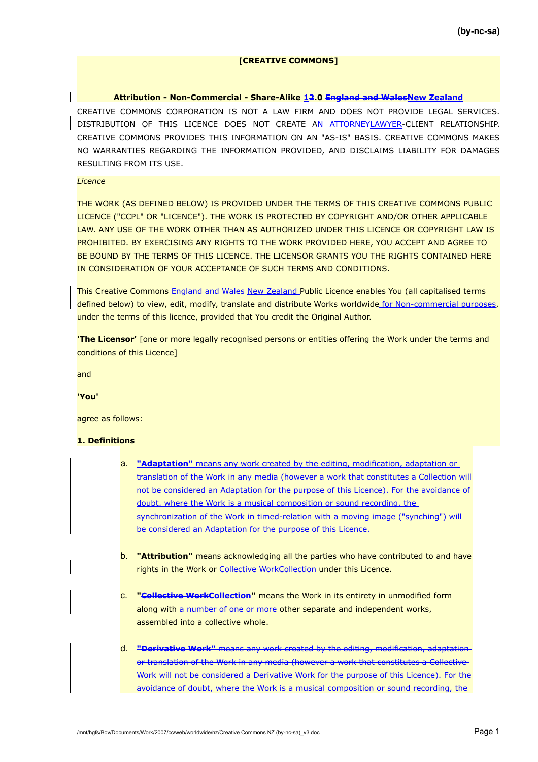# **[CREATIVE COMMONS]**

#### **Attribution - Non-Commercial - Share-Alike 12.0 England and WalesNew Zealand**

CREATIVE COMMONS CORPORATION IS NOT A LAW FIRM AND DOES NOT PROVIDE LEGAL SERVICES. DISTRIBUTION OF THIS LICENCE DOES NOT CREATE A<del>N ATTORNEY</del>LAWYER-CLIENT RELATIONSHIP. CREATIVE COMMONS PROVIDES THIS INFORMATION ON AN "AS-IS" BASIS. CREATIVE COMMONS MAKES NO WARRANTIES REGARDING THE INFORMATION PROVIDED, AND DISCLAIMS LIABILITY FOR DAMAGES RESULTING FROM ITS USE.

### *Licence*

 $\mathbb{I}$ 

THE WORK (AS DEFINED BELOW) IS PROVIDED UNDER THE TERMS OF THIS CREATIVE COMMONS PUBLIC LICENCE ("CCPL" OR "LICENCE"). THE WORK IS PROTECTED BY COPYRIGHT AND/OR OTHER APPLICABLE LAW. ANY USE OF THE WORK OTHER THAN AS AUTHORIZED UNDER THIS LICENCE OR COPYRIGHT LAW IS PROHIBITED. BY EXERCISING ANY RIGHTS TO THE WORK PROVIDED HERE, YOU ACCEPT AND AGREE TO BE BOUND BY THE TERMS OF THIS LICENCE. THE LICENSOR GRANTS YOU THE RIGHTS CONTAINED HERE IN CONSIDERATION OF YOUR ACCEPTANCE OF SUCH TERMS AND CONDITIONS.

This Creative Commons England and Wales New Zealand Public Licence enables You (all capitalised terms defined below) to view, edit, modify, translate and distribute Works worldwide for Non-commercial purposes, under the terms of this licence, provided that You credit the Original Author.

**'The Licensor'** [one or more legally recognised persons or entities offering the Work under the terms and conditions of this Licence]

and

**'You'**

agree as follows:

# **1. Definitions**

- a. **"Adaptation"** means any work created by the editing, modification, adaptation or translation of the Work in any media (however a work that constitutes a Collection will not be considered an Adaptation for the purpose of this Licence). For the avoidance of doubt, where the Work is a musical composition or sound recording, the synchronization of the Work in timed-relation with a moving image ("synching") will be considered an Adaptation for the purpose of this Licence.
- b. **"Attribution"** means acknowledging all the parties who have contributed to and have rights in the Work or Collective WorkCollection under this Licence.
- c. **"Collective WorkCollection"** means the Work in its entirety in unmodified form along with a number of one or more other separate and independent works, assembled into a collective whole.
- d. **"Derivative Work"** means any work created by the editing, modification, adaptation or translation of the Work in any media (however a work that constitutes a Collective Work will not be considered a Derivative Work for the purpose of this Licence). For the avoidance of doubt, where the Work is a musical composition or sound recording, the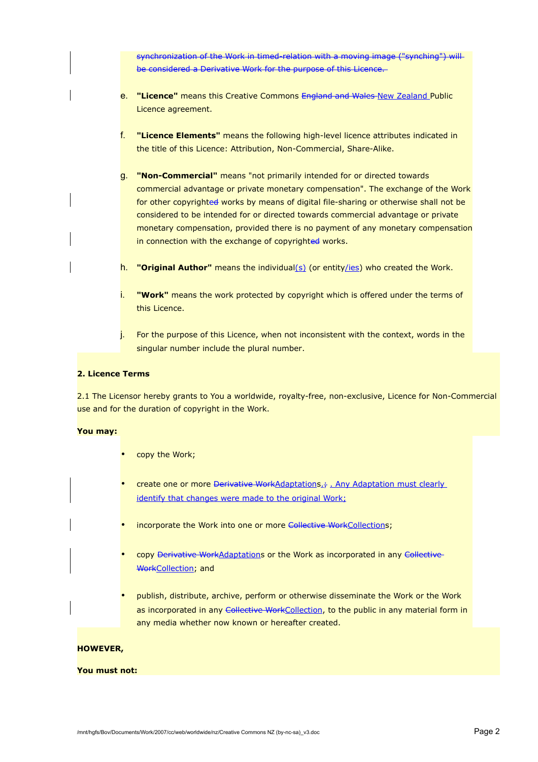synchronization of the Work in timed-relation with a moving image ("synching") will be considered a Derivative Work for the purpose of this Licence.

- e. **"Licence"** means this Creative Commons England and Wales New Zealand Public Licence agreement.
- f. **"Licence Elements"** means the following high-level licence attributes indicated in the title of this Licence: Attribution, Non-Commercial, Share-Alike.
- g. **"Non-Commercial"** means "not primarily intended for or directed towards commercial advantage or private monetary compensation". The exchange of the Work for other copyrighted works by means of digital file-sharing or otherwise shall not be considered to be intended for or directed towards commercial advantage or private monetary compensation, provided there is no payment of any monetary compensation in connection with the exchange of copyrighted works.
- h. **"Original Author"** means the individual(s) (or entity/ies) who created the Work.
- i. **"Work"** means the work protected by copyright which is offered under the terms of this Licence.
- j. For the purpose of this Licence, when not inconsistent with the context, words in the singular number include the plural number.

## **2. Licence Terms**

2.1 The Licensor hereby grants to You a worldwide, royalty-free, non-exclusive, Licence for Non-Commercial use and for the duration of copyright in the Work.

### **You may:**

- copy the Work;
- create one or more Derivative WorkAdaptations.; Any Adaptation must clearly identify that changes were made to the original Work;
- incorporate the Work into one or more Collective WorkCollections;
- copy Derivative WorkAdaptations or the Work as incorporated in any Collective WorkCollection; and
- publish, distribute, archive, perform or otherwise disseminate the Work or the Work as incorporated in any Collective WorkCollection, to the public in any material form in any media whether now known or hereafter created.

#### **HOWEVER,**

#### **You must not:**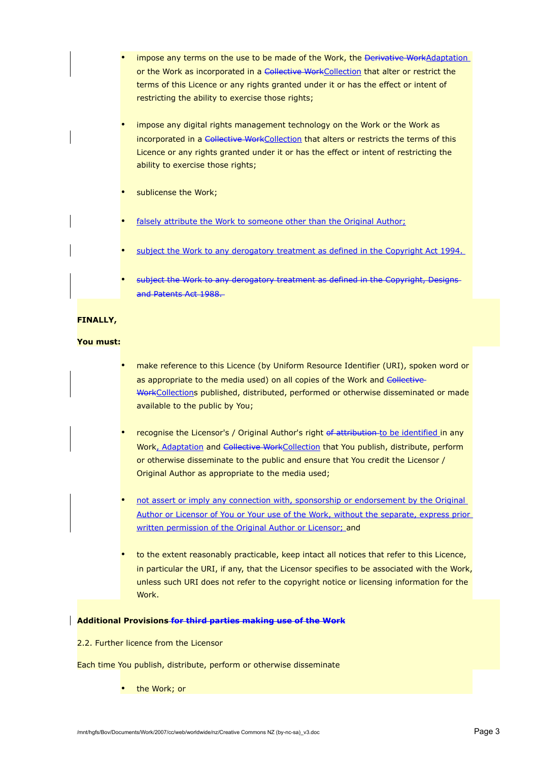- impose any terms on the use to be made of the Work, the Derivative WorkAdaptation or the Work as incorporated in a Collective WorkCollection that alter or restrict the terms of this Licence or any rights granted under it or has the effect or intent of restricting the ability to exercise those rights;
- impose any digital rights management technology on the Work or the Work as incorporated in a Collective WorkCollection that alters or restricts the terms of this Licence or any rights granted under it or has the effect or intent of restricting the ability to exercise those rights;
- sublicense the Work;
- falsely attribute the Work to someone other than the Original Author;
- subject the Work to any derogatory treatment as defined in the Copyright Act 1994.
- subject the Work to any derogatory treatment as defined in the Copyright, Designs and Patents Act 1988.

# **FINALLY,**

#### **You must:**

- make reference to this Licence (by Uniform Resource Identifier (URI), spoken word or as appropriate to the media used) on all copies of the Work and Collective-WorkCollections published, distributed, performed or otherwise disseminated or made available to the public by You;
- recognise the Licensor's / Original Author's right of attribution to be identified in any Work, Adaptation and Collective WorkCollection that You publish, distribute, perform or otherwise disseminate to the public and ensure that You credit the Licensor / Original Author as appropriate to the media used;
- not assert or imply any connection with, sponsorship or endorsement by the Original Author or Licensor of You or Your use of the Work, without the separate, express prior written permission of the Original Author or Licensor; and
- to the extent reasonably practicable, keep intact all notices that refer to this Licence, in particular the URI, if any, that the Licensor specifies to be associated with the Work, unless such URI does not refer to the copyright notice or licensing information for the Work.

### **Additional Provisions for third parties making use of the Work**

2.2. Further licence from the Licensor

Each time You publish, distribute, perform or otherwise disseminate

• the Work; or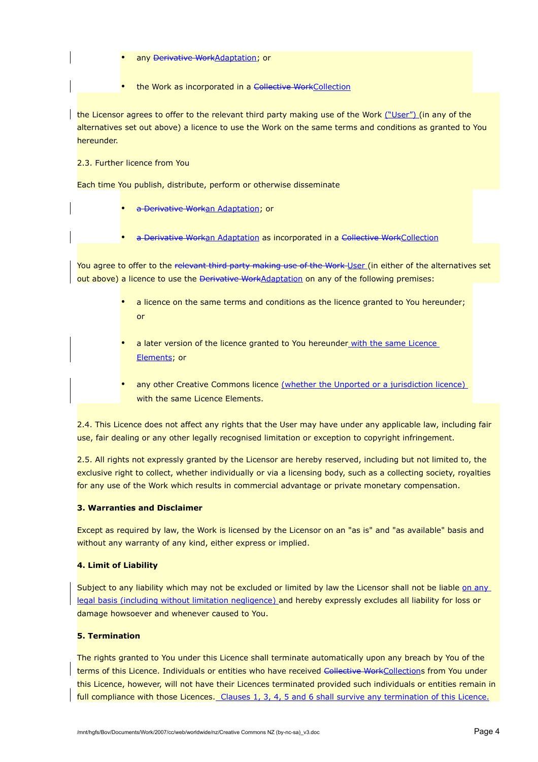- any Derivative WorkAdaptation; or
- the Work as incorporated in a Collective WorkCollection

the Licensor agrees to offer to the relevant third party making use of the Work ("User") (in any of the alternatives set out above) a licence to use the Work on the same terms and conditions as granted to You hereunder.

2.3. Further licence from You

Each time You publish, distribute, perform or otherwise disseminate

- a Derivative Workan Adaptation; or
- a Derivative Workan Adaptation as incorporated in a Collective WorkCollection

You agree to offer to the relevant third party making use of the Work User (in either of the alternatives set out above) a licence to use the Derivative WorkAdaptation on any of the following premises:

- a licence on the same terms and conditions as the licence granted to You hereunder; or
- a later version of the licence granted to You hereunder with the same Licence Elements; or
- any other Creative Commons licence (whether the Unported or a jurisdiction licence) with the same Licence Elements.

2.4. This Licence does not affect any rights that the User may have under any applicable law, including fair use, fair dealing or any other legally recognised limitation or exception to copyright infringement.

2.5. All rights not expressly granted by the Licensor are hereby reserved, including but not limited to, the exclusive right to collect, whether individually or via a licensing body, such as a collecting society, royalties for any use of the Work which results in commercial advantage or private monetary compensation.

# **3. Warranties and Disclaimer**

Except as required by law, the Work is licensed by the Licensor on an "as is" and "as available" basis and without any warranty of any kind, either express or implied.

# **4. Limit of Liability**

Subject to any liability which may not be excluded or limited by law the Licensor shall not be liable on any legal basis (including without limitation negligence) and hereby expressly excludes all liability for loss or damage howsoever and whenever caused to You.

#### **5. Termination**

The rights granted to You under this Licence shall terminate automatically upon any breach by You of the terms of this Licence. Individuals or entities who have received Collective WorkCollections from You under this Licence, however, will not have their Licences terminated provided such individuals or entities remain in full compliance with those Licences. Clauses 1, 3, 4, 5 and 6 shall survive any termination of this Licence.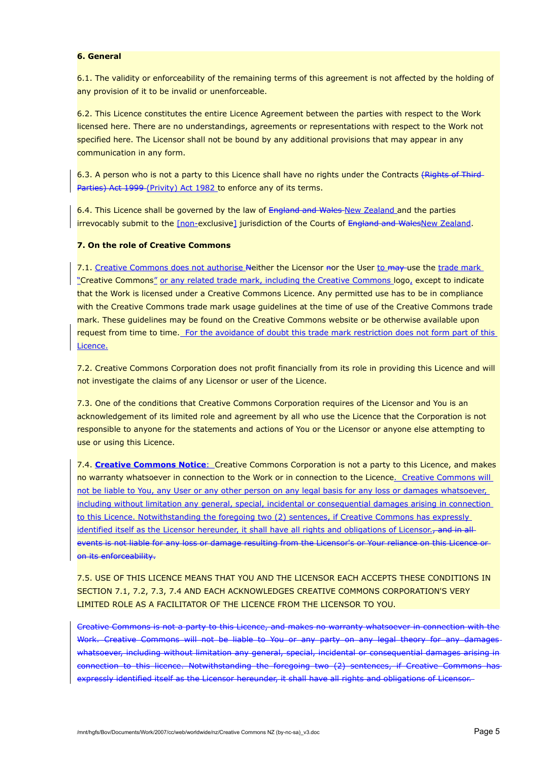## **6. General**

6.1. The validity or enforceability of the remaining terms of this agreement is not affected by the holding of any provision of it to be invalid or unenforceable.

6.2. This Licence constitutes the entire Licence Agreement between the parties with respect to the Work licensed here. There are no understandings, agreements or representations with respect to the Work not specified here. The Licensor shall not be bound by any additional provisions that may appear in any communication in any form.

6.3. A person who is not a party to this Licence shall have no rights under the Contracts (Rights of Third-Parties) Act 1999 (Privity) Act 1982 to enforce any of its terms.

6.4. This Licence shall be governed by the law of England and Wales New Zealand and the parties irrevocably submit to the [non-exclusive] jurisdiction of the Courts of England and WalesNew Zealand.

## **7. On the role of Creative Commons**

7.1. Creative Commons does not authorise Neither the Licensor nor the User to may use the trade mark "Creative Commons" or any related trade mark, including the Creative Commons logo, except to indicate that the Work is licensed under a Creative Commons Licence. Any permitted use has to be in compliance with the Creative Commons trade mark usage guidelines at the time of use of the Creative Commons trade mark. These guidelines may be found on the Creative Commons website or be otherwise available upon request from time to time. For the avoidance of doubt this trade mark restriction does not form part of this Licence.

7.2. Creative Commons Corporation does not profit financially from its role in providing this Licence and will not investigate the claims of any Licensor or user of the Licence.

7.3. One of the conditions that Creative Commons Corporation requires of the Licensor and You is an acknowledgement of its limited role and agreement by all who use the Licence that the Corporation is not responsible to anyone for the statements and actions of You or the Licensor or anyone else attempting to use or using this Licence.

7.4. **Creative Commons Notice**:Creative Commons Corporation is not a party to this Licence, and makes no warranty whatsoever in connection to the Work or in connection to the Licence. Creative Commons will not be liable to You, any User or any other person on any legal basis for any loss or damages whatsoever, including without limitation any general, special, incidental or consequential damages arising in connection to this Licence. Notwithstanding the foregoing two (2) sentences, if Creative Commons has expressly identified itself as the Licensor hereunder, it shall have all rights and obligations of Licensor., and in allevents is not liable for any loss or damage resulting from the Licensor's or Your reliance on this Licence or on its enforceability.

7.5. USE OF THIS LICENCE MEANS THAT YOU AND THE LICENSOR EACH ACCEPTS THESE CONDITIONS IN SECTION 7.1, 7.2, 7.3, 7.4 AND EACH ACKNOWLEDGES CREATIVE COMMONS CORPORATION'S VERY LIMITED ROLE AS A FACILITATOR OF THE LICENCE FROM THE LICENSOR TO YOU.

Creative Commons is not a party to this Licence, and makes no warranty whatsoever in connection with the Work. Creative Commons will not be liable to You or any party on any legal theory for any damages whatsoever, including without limitation any general, special, incidental or consequential damages arising in connection to this licence. Notwithstanding the foregoing two (2) sentences, if Creative Commons has expressly identified itself as the Licensor hereunder, it shall have all rights and obligations of Licensor.